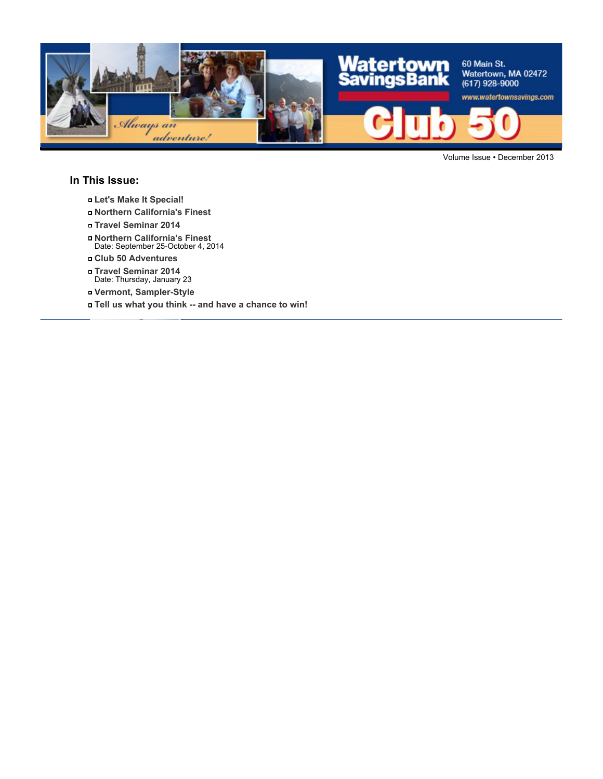

Volume Issue • December 2013

### **In This Issue:**

- **Let's Make It Special!**
- **Northern California's Finest**
- **Travel Seminar 2014**
- **Northern California's Finest** Date: September 25-October 4, 2014
- **Club 50 Adventures**
- **Travel Seminar 2014** Date: Thursday, January 23
- **Vermont, Sampler-Style**
- **Tell us what you think -- and have a chance to win!**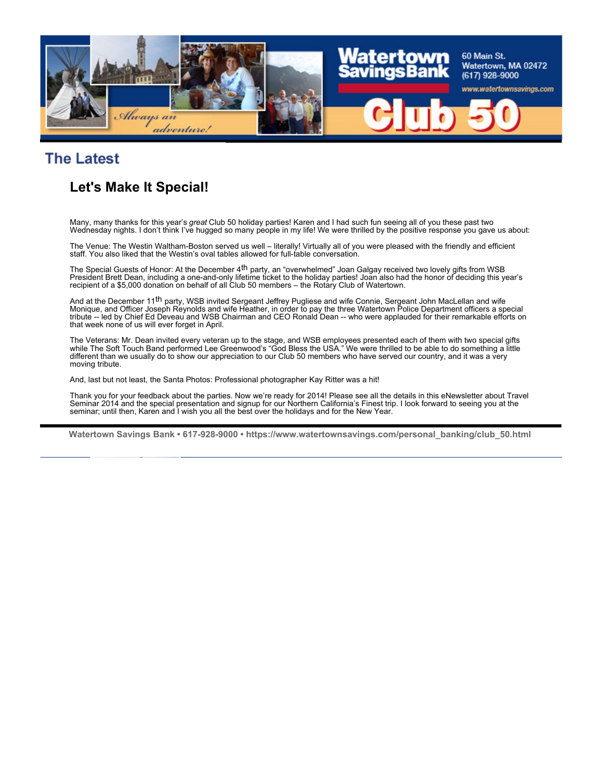

### **The Latest**

### **Let's Make It Special!**

Many, many thanks for this year's *great* Club 50 holiday parties! Karen and I had such fun seeing all of you these past two Wednesday nights. I don't think I've hugged so many people in my life! We were thrilled by the positive response you gave us about:

The Venue: The Westin Waltham-Boston served us well – literally! Virtually all of you were pleased with the friendly and efficient staff. You also liked that the Westin's oval tables allowed for full-table conversation.

The Special Guests of Honor: At the December 4<sup>th</sup> party, an "overwhelmed" Joan Galgay received two lovely gifts from WSB President Brett Dean, including a one-and-only lifetime ticket to the holiday parties! Joan also had the honor of deciding this year's recipient of a \$5,000 donation on behalf of all Club 50 members – the Rotary Club of Watertown.

And at the December 11<sup>th</sup> party, WSB invited Sergeant Jeffrey Pugliese and wife Connie, Sergeant John MacLellan and wife Monique, and Officer Joseph Reynolds and wife Heather, in order to pay the three Watertown Police Department officers a special tribute -- led by Chief Ed Deveau and WSB Chairman and CEO Ronald Dean -- who were applauded for their remarkable efforts on that week none of us will ever forget in April.

The Veterans: Mr. Dean invited every veteran up to the stage, and WSB employees presented each of them with two special gifts while The Soft Touch Band performed Lee Greenwood's "God Bless the USA." We were thrilled to be able to do something a little different than we usually do to show our appreciation to our Club 50 members who have served our country, and it was a very moving tribute.

And, last but not least, the Santa Photos: Professional photographer Kay Ritter was a hit!

Thank you for your feedback about the parties. Now we're ready for 2014! Please see all the details in this eNewsletter about Travel Seminar 2014 and the special presentation and signup for our Northern California's Finest trip. I look forward to seeing you at the seminar; until then, Karen and I wish you all the best over the holidays and for the New Year.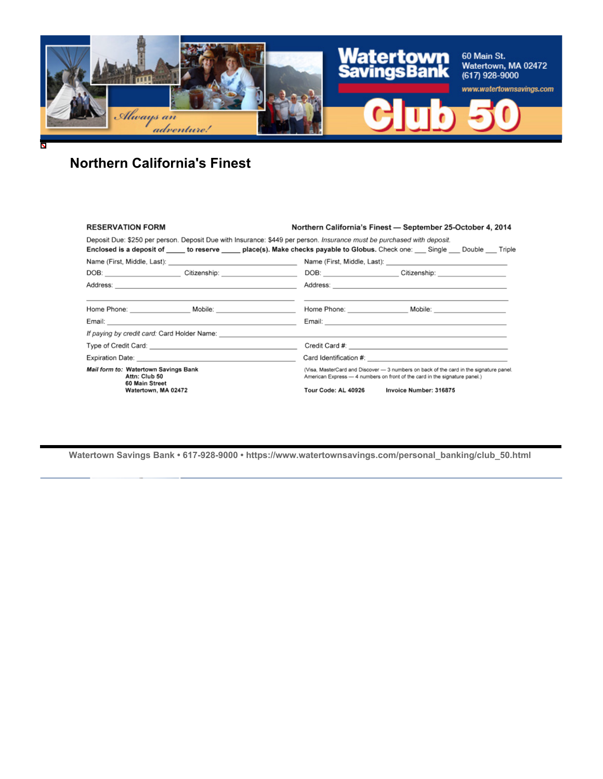

### **Northern California's Finest**

#### **RESERVATION FORM**

#### Northern California's Finest - September 25-October 4, 2014

Deposit Due: \$250 per person. Deposit Due with Insurance: \$449 per person. Insurance must be purchased with deposit. Enclosed is a deposit of \_\_\_\_\_ to reserve \_\_\_\_\_ place(s). Make checks payable to Globus. Check one: \_\_\_ Single \_\_\_ Double \_\_\_ Triple DOB: Citizenship: Citizenship: DOB: DOB: Citizenship: Citizenship: Citizenship: Citizenship: Citizenship: Citizenship: Citizenship: Citizenship: Citizenship: Citizenship: Citizenship: Citizenship: Citizenship: Citizenship: — — **Email:** Email: **Email:** Email: **Email: Email: Email: Email: Email: Email: Email: Email: Email: Email: Email: Email: Email: Email: Email: Email: Email: Email: Email: Email: Email:** Email: If paying by credit card: Card Holder Name: Mail form to: Watertown Savings Bank (Visa, MasterCard and Discover - 3 numbers on back of the card in the signature panel. (Visa, MasterCard and Discover — 3 numbers on back of the card in the sign<br>American Express — 4 numbers on front of the card in the signature panel.) Attn: Club 50 60 Main Street<br>Watertown, MA 02472 Tour Code: AL 40926 Invoice Number: 316875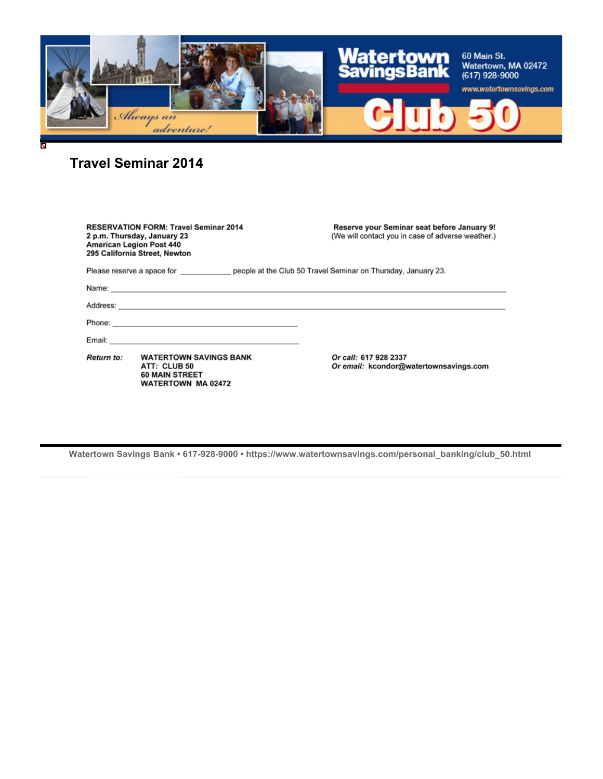

**Travel Seminar 2014**

| <b>RESERVATION FORM: Travel Seminar 2014</b><br>2 p.m. Thursday, January 23<br><b>American Legion Post 440</b><br>295 California Street, Newton |                                                                                                                                                                                        | Reserve your Seminar seat before January 9!<br>(We will contact you in case of adverse weather.) |
|-------------------------------------------------------------------------------------------------------------------------------------------------|----------------------------------------------------------------------------------------------------------------------------------------------------------------------------------------|--------------------------------------------------------------------------------------------------|
| Please reserve a space for electron example at the Club 50 Travel Seminar on Thursday, January 23.                                              |                                                                                                                                                                                        |                                                                                                  |
|                                                                                                                                                 |                                                                                                                                                                                        |                                                                                                  |
|                                                                                                                                                 |                                                                                                                                                                                        |                                                                                                  |
|                                                                                                                                                 |                                                                                                                                                                                        |                                                                                                  |
|                                                                                                                                                 | Email: <b>Email: Email: Email: Email: Email: Email: Email: Email: Email: Email: Example: EMAIL: EMAIL: EMAIL: EMAIL: EMAIL: EMAIL: EMAIL: EMAIL: EMAIL: EMAIL: EMAIL: EMAIL: EMAIL</b> |                                                                                                  |
| Return to:                                                                                                                                      | <b>WATERTOWN SAVINGS BANK</b><br>ATT: CLUB 50<br><b>60 MAIN STREET</b><br><b>WATERTOWN MA 02472</b>                                                                                    | Or call: 617 928 2337<br>Or email: kcondor@watertownsavings.com                                  |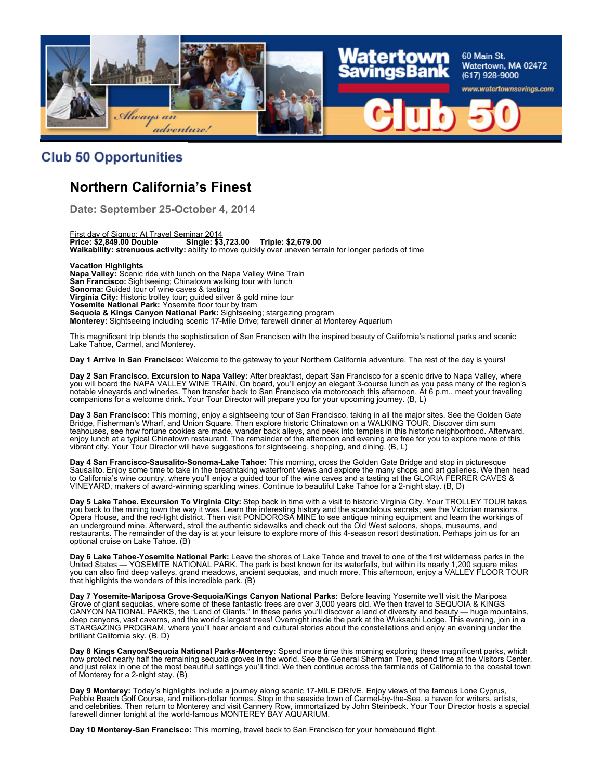

### **Club 50 Opportunities**

### **Northern California's Finest**

**Date: September 25-October 4, 2014**

First day of Signup: At Travel Seminar 2014 **Price: \$2,849.00 Double Single: \$3,723.00 Triple: \$2,679.00 Walkability: strenuous activity:** ability to move quickly over uneven terrain for longer periods of time

**Vacation Highlights Napa Valley:** Scenic ride with lunch on the Napa Valley Wine Train **San Francisco:** Sightseeing; Chinatown walking tour with lunch **Sonoma:** Guided tour of wine caves & tasting **Virginia City:** Historic trolley tour; guided silver & gold mine tour **Yosemite National Park:** Yosemite floor tour by tram **Sequoia & Kings Canyon National Park:** Sightseeing; stargazing program **Monterey:** Sightseeing including scenic 17-Mile Drive; farewell dinner at Monterey Aquarium

This magnificent trip blends the sophistication of San Francisco with the inspired beauty of California's national parks and scenic Lake Tahoe, Carmel, and Monterey.

**Day 1 Arrive in San Francisco:** Welcome to the gateway to your Northern California adventure. The rest of the day is yours!

**Day 2 San Francisco. Excursion to Napa Valley:** After breakfast, depart San Francisco for a scenic drive to Napa Valley, where you will board the NAPA VALLEY WINE TRAIN. On board, you'll enjoy an elegant 3-course lunch as you pass many of the region's notable vineyards and wineries. Then transfer back to San Francisco via motorcoach this afternoon. At 6 p.m., meet your traveling companions for a welcome drink. Your Tour Director will prepare you for your upcoming journey. (B, L)

**Day 3 San Francisco:** This morning, enjoy a sightseeing tour of San Francisco, taking in all the major sites. See the Golden Gate Bridge, Fisherman's Wharf, and Union Square. Then explore historic Chinatown on a WALKING TOUR. Discover dim sum teahouses, see how fortune cookies are made, wander back alleys, and peek into temples in this historic neighborhood. Afterward, enjoy lunch at a typical Chinatown restaurant. The remainder of the afternoon and evening are free for you to explore more of this vibrant city. Your Tour Director will have suggestions for sightseeing, shopping, and dining. (B, L)

**Day 4 San Francisco-Sausalito-Sonoma-Lake Tahoe:** This morning, cross the Golden Gate Bridge and stop in picturesque Sausalito. Enjoy some time to take in the breathtaking waterfront views and explore the many shops and art galleries. We then head to California's wine country, where you'll enjoy a guided tour of the wine caves and a tasting at the GLORIA FERRER CAVES & VINEYARD, makers of award-winning sparkling wines. Continue to beautiful Lake Tahoe for a 2-night stay. (B, D)

**Day 5 Lake Tahoe. Excursion To Virginia City:** Step back in time with a visit to historic Virginia City. Your TROLLEY TOUR takes you back to the mining town the way it was. Learn the interesting history and the scandalous secrets; see the Victorian mansions, Opera House, and the red-light district. Then visit PONDOROSA MINE to see antique mining equipment and learn the workings of an underground mine. Afterward, stroll the authentic sidewalks and check out the Old West saloons, shops, museums, and restaurants. The remainder of the day is at your leisure to explore more of this 4-season resort destination. Perhaps join us for an optional cruise on Lake Tahoe. (B)

**Day 6 Lake Tahoe-Yosemite National Park:** Leave the shores of Lake Tahoe and travel to one of the first wilderness parks in the United States — YOSEMITE NATIONAL PARK. The park is best known for its waterfalls, but within its nearly 1,200 square miles you can also find deep valleys, grand meadows, ancient sequoias, and much more. This afternoon, enjoy a VALLEY FLOOR TOUR that highlights the wonders of this incredible park. (B)

**Day 7 Yosemite-Mariposa Grove-Sequoia/Kings Canyon National Parks:** Before leaving Yosemite we'll visit the Mariposa Grove of giant sequoias, where some of these fantastic trees are over 3,000 years old. We then travel to SEQUOIA & KINGS CANYON NATIONAL PARKS, the "Land of Giants." In these parks you'll discover a land of diversity and beauty — huge mountains, deep canyons, vast caverns, and the world's largest trees! Overnight inside the park at the Wuksachi Lodge. This evening, join in a STARGAZING PROGRAM, where you'll hear ancient and cultural stories about the constellations and enjoy an evening under the brilliant California sky. (B, D)

**Day 8 Kings Canyon/Sequoia National Parks-Monterey:** Spend more time this morning exploring these magnificent parks, which now protect nearly half the remaining sequoia groves in the world. See the General Sherman Tree, spend time at the Visitors Center, and just relax in one of the most beautiful settings you'll find. We then continue across the farmlands of California to the coastal town of Monterey for a 2-night stay. (B)

**Day 9 Monterey:** Today's highlights include a journey along scenic 17-MILE DRIVE. Enjoy views of the famous Lone Cyprus, Pebble Beach Golf Course, and million-dollar homes. Stop in the seaside town of Carmel-by-the-Sea, a haven for writers, artists, and celebrities. Then return to Monterey and visit Cannery Row, immortalized by John Steinbeck. Your Tour Director hosts a special farewell dinner tonight at the world-famous MONTEREY BAY AQUARIUM.

**Day 10 Monterey-San Francisco:** This morning, travel back to San Francisco for your homebound flight.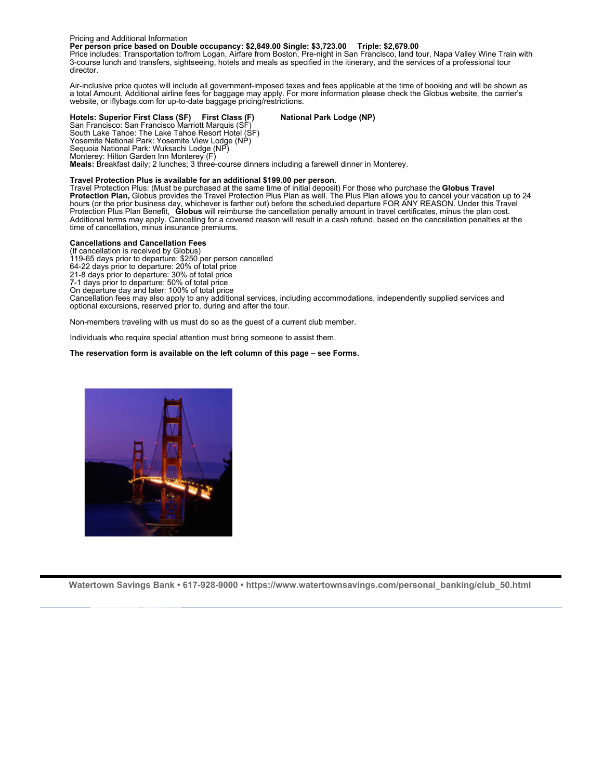#### Pricing and Additional Information

**Per person price based on Double occupancy: \$2,849.00 Single: \$3,723.00 Triple: \$2,679.00**

Price includes: Transportation to/from Logan, Airfare from Boston, Pre-night in San Francisco, land tour, Napa Valley Wine Train with 3-course lunch and transfers, sightseeing, hotels and meals as specified in the itinerary, and the services of a professional tour director.

Air-inclusive price quotes will include all government-imposed taxes and fees applicable at the time of booking and will be shown as a total Amount. Additional airline fees for baggage may apply. For more information please check the Globus website, the carrier's website, or iflybags.com for up-to-date baggage pricing/restrictions.

#### **Hotels: Superior First Class (SF) First Class (F) National Park Lodge (NP)**

San Francisco: San Francisco Marriott Marquis (SF) South Lake Tahoe: The Lake Tahoe Resort Hotel (SF) Yosemite National Park: Yosemite View Lodge (NP) Sequoia National Park: Wuksachi Lodge (NP) Monterey: Hilton Garden Inn Monterey (F) **Meals:** Breakfast daily; 2 lunches; 3 three-course dinners including a farewell dinner in Monterey.

#### **Travel Protection Plus is available for an additional \$199.00 per person.**

Travel Protection Plus: (Must be purchased at the same time of initial deposit) For those who purchase the **Globus Travel Protection Plan,** Globus provides the Travel Protection Plus Plan as well. The Plus Plan allows you to cancel your vacation up to 24 hours (or the prior business day, whichever is farther out) before the scheduled departure FOR ANY REASON. Under this Travel Protection Plus Plan Benefit, **Globus** will reimburse the cancellation penalty amount in travel certificates, minus the plan cost. Additional terms may apply. Cancelling for a covered reason will result in a cash refund, based on the cancellation penalties at the time of cancellation, minus insurance premiums.

#### **Cancellations and Cancellation Fees**

(If cancellation is received by Globus)

119-65 days prior to departure: \$250 per person cancelled

64-22 days prior to departure: 20% of total price 21-8 days prior to departure: 30% of total price

7-1 days prior to departure: 50% of total price

On departure day and later: 100% of total price

Cancellation fees may also apply to any additional services, including accommodations, independently supplied services and optional excursions, reserved prior to, during and after the tour.

Non-members traveling with us must do so as the guest of a current club member.

Individuals who require special attention must bring someone to assist them.

#### **The reservation form is available on the left column of this page – see Forms.**

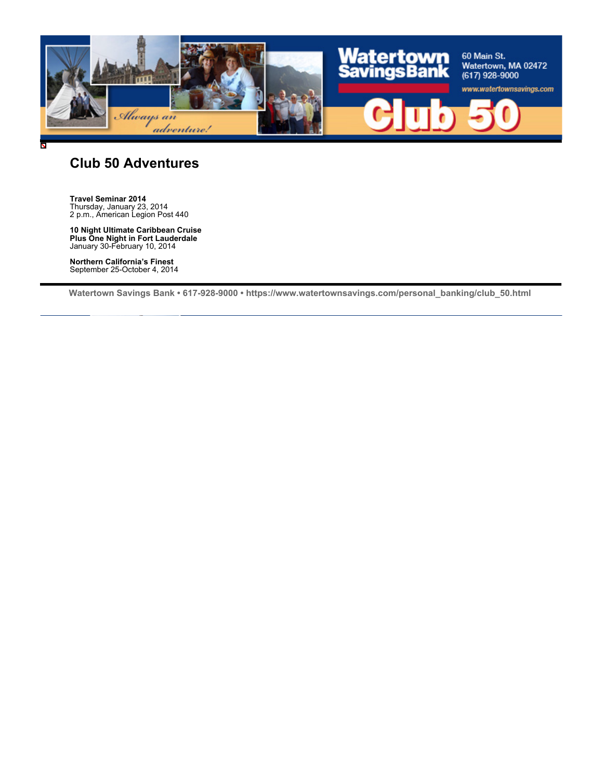

### **Club 50 Adventures**

**Travel Seminar 2014** Thursday, January 23, 2014 2 p.m., American Legion Post 440

**10 Night Ultimate Caribbean Cruise Plus One Night in Fort Lauderdale** January 30-February 10, 2014

**Northern California's Finest** September 25-October 4, 2014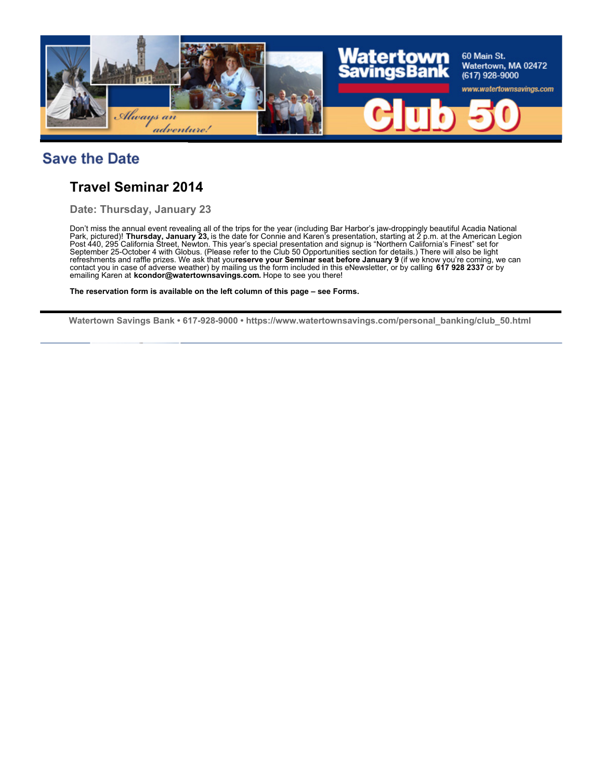

# **Save the Date**

### **Travel Seminar 2014**

**Date: Thursday, January 23**

Don't miss the annual event revealing all of the trips for the year (including Bar Harbor's jaw-droppingly beautiful Acadia National Park, pictured)! **Thursday, January 23,** is the date for Connie and Karen's presentation, starting at 2 p.m. at the American Legion Post 440, 295 California Street, Newton. This year's special presentation and signup is "Northern California's Finest" set for September 25-October 4 with Globus. (Please refer to the Club 50 Opportunities section for details.) There will also be light refreshments and raffle prizes. We ask that you**reserve your Seminar seat before January 9** (if we know you're coming, we can contact you in case of adverse weather) by mailing us the form included in this eNewsletter, or by calling **617 928 2337** or by emailing Karen at **kcondor@watertownsavings.com.** Hope to see you there!

**The reservation form is available on the left column of this page – see Forms.**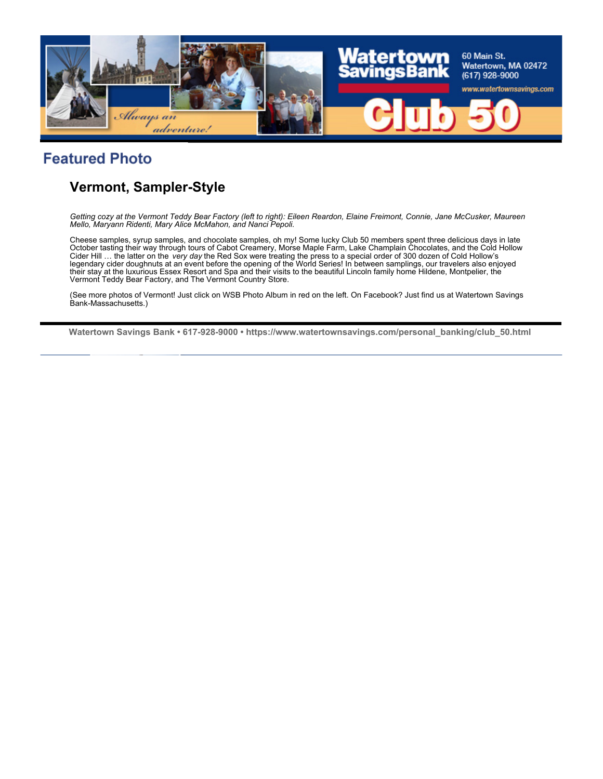

# **Featured Photo**

# **Vermont, Sampler-Style**

*Getting cozy at the Vermont Teddy Bear Factory (left to right): Eileen Reardon, Elaine Freimont, Connie, Jane McCusker, Maureen Mello, Maryann Ridenti, Mary Alice McMahon, and Nanci Pepoli.*

Cheese samples, syrup samples, and chocolate samples, oh my! Some lucky Club 50 members spent three delicious days in late October tasting their way through tours of Cabot Creamery, Morse Maple Farm, Lake Champlain Chocolates, and the Cold Hollow<br>Cider Hill … the latter on the *very day* the Red Sox were treating the press to a special order o legendary cider doughnuts at an event before the opening of the World Series! In between samplings, our travelers also enjoyed their stay at the luxurious Essex Resort and Spa and their visits to the beautiful Lincoln family home Hildene, Montpelier, the Vermont Teddy Bear Factory, and The Vermont Country Store.

(See more photos of Vermont! Just click on WSB Photo Album in red on the left. On Facebook? Just find us at Watertown Savings Bank-Massachusetts.)